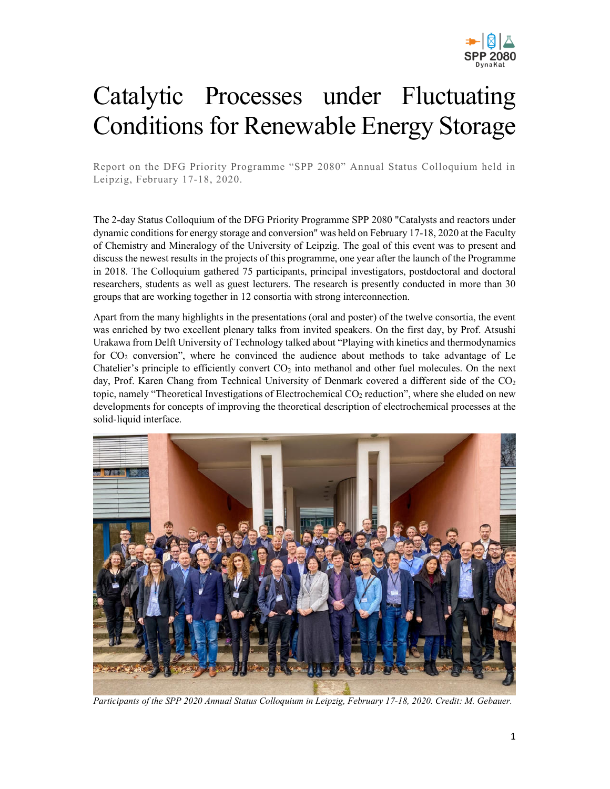

## Catalytic Processes under Fluctuating Conditions for Renewable Energy Storage

Report on the DFG Priority Programme "SPP 2080" Annual Status Colloquium held in Leipzig, February 17-18, 2020.

The 2-day Status Colloquium of the DFG Priority Programme SPP 2080 "Catalysts and reactors under dynamic conditions for energy storage and conversion" was held on February 17-18, 2020 at the Faculty of Chemistry and Mineralogy of the University of Leipzig. The goal of this event was to present and discuss the newest results in the projects of this programme, one year after the launch of the Programme in 2018. The Colloquium gathered 75 participants, principal investigators, postdoctoral and doctoral researchers, students as well as guest lecturers. The research is presently conducted in more than 30 groups that are working together in 12 consortia with strong interconnection.

Apart from the many highlights in the presentations (oral and poster) of the twelve consortia, the event was enriched by two excellent plenary talks from invited speakers. On the first day, by Prof. Atsushi Urakawa from Delft University of Technology talked about "Playing with kinetics and thermodynamics for  $CO<sub>2</sub>$  conversion", where he convinced the audience about methods to take advantage of Le Chatelier's principle to efficiently convert  $CO<sub>2</sub>$  into methanol and other fuel molecules. On the next day, Prof. Karen Chang from Technical University of Denmark covered a different side of the  $CO<sub>2</sub>$ topic, namely "Theoretical Investigations of Electrochemical CO2 reduction", where she eluded on new developments for concepts of improving the theoretical description of electrochemical processes at the solid-liquid interface.



*Participants of the SPP 2020 Annual Status Colloquium in Leipzig, February 17-18, 2020. Credit: M. Gebauer.*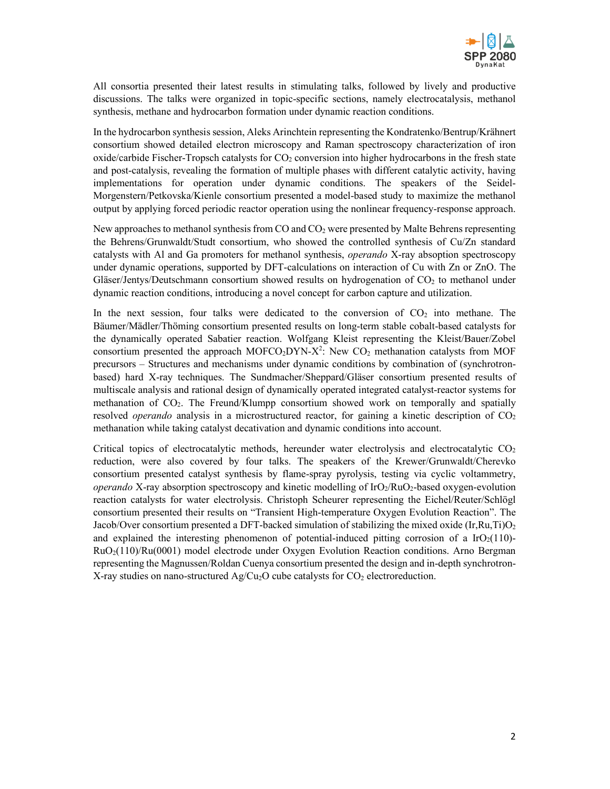

All consortia presented their latest results in stimulating talks, followed by lively and productive discussions. The talks were organized in topic-specific sections, namely electrocatalysis, methanol synthesis, methane and hydrocarbon formation under dynamic reaction conditions.

In the hydrocarbon synthesis session, Aleks Arinchtein representing the Kondratenko/Bentrup/Krähnert consortium showed detailed electron microscopy and Raman spectroscopy characterization of iron oxide/carbide Fischer-Tropsch catalysts for  $CO<sub>2</sub>$  conversion into higher hydrocarbons in the fresh state and post-catalysis, revealing the formation of multiple phases with different catalytic activity, having implementations for operation under dynamic conditions. The speakers of the Seidel-Morgenstern/Petkovska/Kienle consortium presented a model-based study to maximize the methanol output by applying forced periodic reactor operation using the nonlinear frequency-response approach.

New approaches to methanol synthesis from CO and CO<sub>2</sub> were presented by Malte Behrens representing the Behrens/Grunwaldt/Studt consortium, who showed the controlled synthesis of Cu/Zn standard catalysts with Al and Ga promoters for methanol synthesis, *operando* X-ray absoption spectroscopy under dynamic operations, supported by DFT-calculations on interaction of Cu with Zn or ZnO. The Gläser/Jentys/Deutschmann consortium showed results on hydrogenation of CO<sub>2</sub> to methanol under dynamic reaction conditions, introducing a novel concept for carbon capture and utilization.

In the next session, four talks were dedicated to the conversion of  $CO<sub>2</sub>$  into methane. The Bäumer/Mädler/Thöming consortium presented results on long-term stable cobalt-based catalysts for the dynamically operated Sabatier reaction. Wolfgang Kleist representing the Kleist/Bauer/Zobel consortium presented the approach MOFCO<sub>2</sub>DYN-X<sup>2</sup>: New CO<sub>2</sub> methanation catalysts from MOF precursors – Structures and mechanisms under dynamic conditions by combination of (synchrotronbased) hard X-ray techniques. The Sundmacher/Sheppard/Gläser consortium presented results of multiscale analysis and rational design of dynamically operated integrated catalyst-reactor systems for methanation of CO2. The Freund/Klumpp consortium showed work on temporally and spatially resolved *operando* analysis in a microstructured reactor, for gaining a kinetic description of CO<sub>2</sub> methanation while taking catalyst decativation and dynamic conditions into account.

Critical topics of electrocatalytic methods, hereunder water electrolysis and electrocatalytic  $CO<sub>2</sub>$ reduction, were also covered by four talks. The speakers of the Krewer/Grunwaldt/Cherevko consortium presented catalyst synthesis by flame-spray pyrolysis, testing via cyclic voltammetry, *operando* X-ray absorption spectroscopy and kinetic modelling of IrO<sub>2</sub>/RuO<sub>2</sub>-based oxygen-evolution reaction catalysts for water electrolysis. Christoph Scheurer representing the Eichel/Reuter/Schlögl consortium presented their results on "Transient High-temperature Oxygen Evolution Reaction". The Jacob/Over consortium presented a DFT-backed simulation of stabilizing the mixed oxide (Ir,Ru,Ti)O<sub>2</sub> and explained the interesting phenomenon of potential-induced pitting corrosion of a  $IrO<sub>2</sub>(110)-$ RuO2(110)/Ru(0001) model electrode under Oxygen Evolution Reaction conditions. Arno Bergman representing the Magnussen/Roldan Cuenya consortium presented the design and in-depth synchrotron-X-ray studies on nano-structured Ag/Cu<sub>2</sub>O cube catalysts for  $CO<sub>2</sub>$  electroreduction.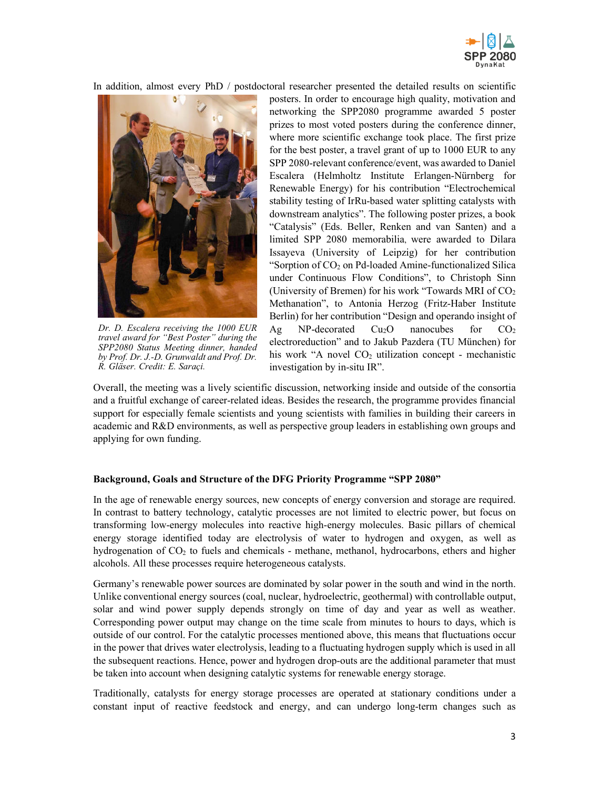

In addition, almost every PhD / postdoctoral researcher presented the detailed results on scientific



*Dr. D. Escalera receiving the 1000 EUR travel award for "Best Poster" during the SPP2080 Status Meeting dinner, handed by Prof. Dr. J.-D. Grunwaldt and Prof. Dr. R. Gläser. Credit: E. Saraçi.*

posters. In order to encourage high quality, motivation and networking the SPP2080 programme awarded 5 poster prizes to most voted posters during the conference dinner, where more scientific exchange took place. The first prize for the best poster, a travel grant of up to 1000 EUR to any SPP 2080-relevant conference/event, was awarded to Daniel Escalera (Helmholtz Institute Erlangen-Nürnberg for Renewable Energy) for his contribution "Electrochemical stability testing of IrRu-based water splitting catalysts with downstream analytics". The following poster prizes, a book "Catalysis" (Eds. Beller, Renken and van Santen) and a limited SPP 2080 memorabilia, were awarded to Dilara Issayeva (University of Leipzig) for her contribution "Sorption of CO2 on Pd-loaded Amine-functionalized Silica under Continuous Flow Conditions", to Christoph Sinn (University of Bremen) for his work "Towards MRI of CO<sup>2</sup> Methanation", to Antonia Herzog (Fritz-Haber Institute Berlin) for her contribution "Design and operando insight of Ag NP-decorated  $Cu<sub>2</sub>O$  nanocubes for  $CO<sub>2</sub>$ electroreduction" and to Jakub Pazdera (TU München) for his work "A novel  $CO<sub>2</sub>$  utilization concept - mechanistic investigation by in-situ IR".

Overall, the meeting was a lively scientific discussion, networking inside and outside of the consortia and a fruitful exchange of career-related ideas. Besides the research, the programme provides financial support for especially female scientists and young scientists with families in building their careers in academic and R&D environments, as well as perspective group leaders in establishing own groups and applying for own funding.

## **Background, Goals and Structure of the DFG Priority Programme "SPP 2080"**

In the age of renewable energy sources, new concepts of energy conversion and storage are required. In contrast to battery technology, catalytic processes are not limited to electric power, but focus on transforming low-energy molecules into reactive high-energy molecules. Basic pillars of chemical energy storage identified today are electrolysis of water to hydrogen and oxygen, as well as hydrogenation of CO2 to fuels and chemicals - methane, methanol, hydrocarbons, ethers and higher alcohols. All these processes require heterogeneous catalysts.

Germany's renewable power sources are dominated by solar power in the south and wind in the north. Unlike conventional energy sources (coal, nuclear, hydroelectric, geothermal) with controllable output, solar and wind power supply depends strongly on time of day and year as well as weather. Corresponding power output may change on the time scale from minutes to hours to days, which is outside of our control. For the catalytic processes mentioned above, this means that fluctuations occur in the power that drives water electrolysis, leading to a fluctuating hydrogen supply which is used in all the subsequent reactions. Hence, power and hydrogen drop-outs are the additional parameter that must be taken into account when designing catalytic systems for renewable energy storage.

Traditionally, catalysts for energy storage processes are operated at stationary conditions under a constant input of reactive feedstock and energy, and can undergo long-term changes such as